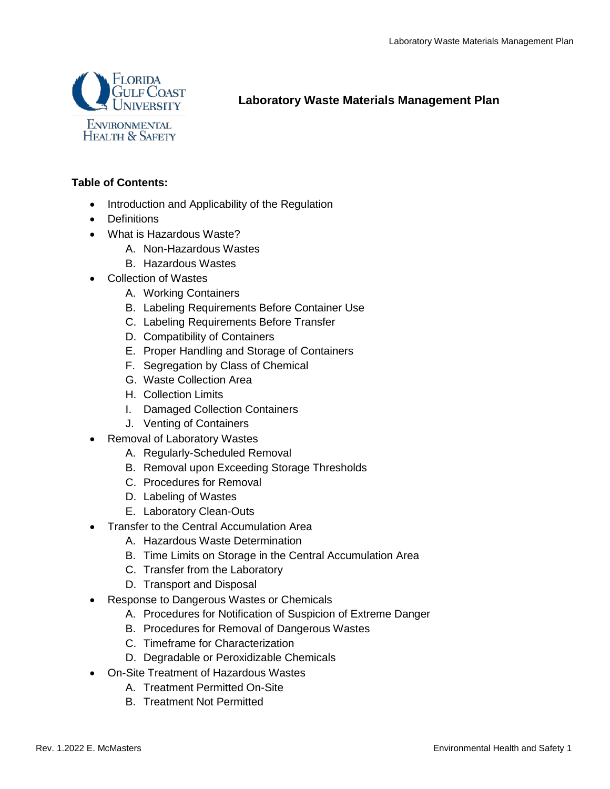

**Laboratory Waste Materials Management Plan**

# **Table of Contents:**

- Introduction and Applicability of the Regulation
- Definitions
- What is Hazardous Waste?
	- A. Non-Hazardous Wastes
	- B. Hazardous Wastes
- Collection of Wastes
	- A. Working Containers
	- B. Labeling Requirements Before Container Use
	- C. Labeling Requirements Before Transfer
	- D. Compatibility of Containers
	- E. Proper Handling and Storage of Containers
	- F. Segregation by Class of Chemical
	- G. Waste Collection Area
	- H. Collection Limits
	- I. Damaged Collection Containers
	- J. Venting of Containers
- Removal of Laboratory Wastes
	- A. Regularly-Scheduled Removal
	- B. Removal upon Exceeding Storage Thresholds
	- C. Procedures for Removal
	- D. Labeling of Wastes
	- E. Laboratory Clean-Outs
- Transfer to the Central Accumulation Area
	- A. Hazardous Waste Determination
	- B. Time Limits on Storage in the Central Accumulation Area
	- C. Transfer from the Laboratory
	- D. Transport and Disposal
- Response to Dangerous Wastes or Chemicals
	- A. Procedures for Notification of Suspicion of Extreme Danger
	- B. Procedures for Removal of Dangerous Wastes
	- C. Timeframe for Characterization
	- D. Degradable or Peroxidizable Chemicals
- On-Site Treatment of Hazardous Wastes
	- A. Treatment Permitted On-Site
		- B. Treatment Not Permitted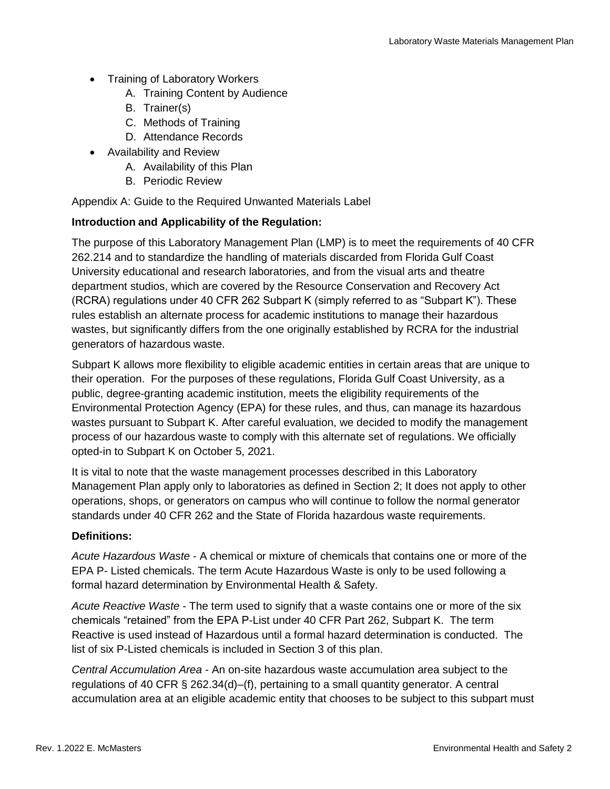- Training of Laboratory Workers
	- A. Training Content by Audience
	- B. Trainer(s)
	- C. Methods of Training
	- D. Attendance Records
- Availability and Review
	- A. Availability of this Plan
	- B. Periodic Review

Appendix A: Guide to the Required Unwanted Materials Label

### **Introduction and Applicability of the Regulation:**

The purpose of this Laboratory Management Plan (LMP) is to meet the requirements of 40 CFR 262.214 and to standardize the handling of materials discarded from Florida Gulf Coast University educational and research laboratories, and from the visual arts and theatre department studios, which are covered by the Resource Conservation and Recovery Act (RCRA) regulations under 40 CFR 262 Subpart K (simply referred to as "Subpart K"). These rules establish an alternate process for academic institutions to manage their hazardous wastes, but significantly differs from the one originally established by RCRA for the industrial generators of hazardous waste.

Subpart K allows more flexibility to eligible academic entities in certain areas that are unique to their operation. For the purposes of these regulations, Florida Gulf Coast University, as a public, degree-granting academic institution, meets the eligibility requirements of the Environmental Protection Agency (EPA) for these rules, and thus, can manage its hazardous wastes pursuant to Subpart K. After careful evaluation, we decided to modify the management process of our hazardous waste to comply with this alternate set of regulations. We officially opted-in to Subpart K on October 5, 2021.

It is vital to note that the waste management processes described in this Laboratory Management Plan apply only to laboratories as defined in Section 2; It does not apply to other operations, shops, or generators on campus who will continue to follow the normal generator standards under 40 CFR 262 and the State of Florida hazardous waste requirements.

#### **Definitions:**

*Acute Hazardous Waste* - A chemical or mixture of chemicals that contains one or more of the EPA P- Listed chemicals. The term Acute Hazardous Waste is only to be used following a formal hazard determination by Environmental Health & Safety.

*Acute Reactive Waste* - The term used to signify that a waste contains one or more of the six chemicals "retained" from the EPA P-List under 40 CFR Part 262, Subpart K. The term Reactive is used instead of Hazardous until a formal hazard determination is conducted. The list of six P-Listed chemicals is included in Section 3 of this plan.

*Central Accumulation Area* - An on-site hazardous waste accumulation area subject to the regulations of 40 CFR § 262.34(d)–(f), pertaining to a small quantity generator. A central accumulation area at an eligible academic entity that chooses to be subject to this subpart must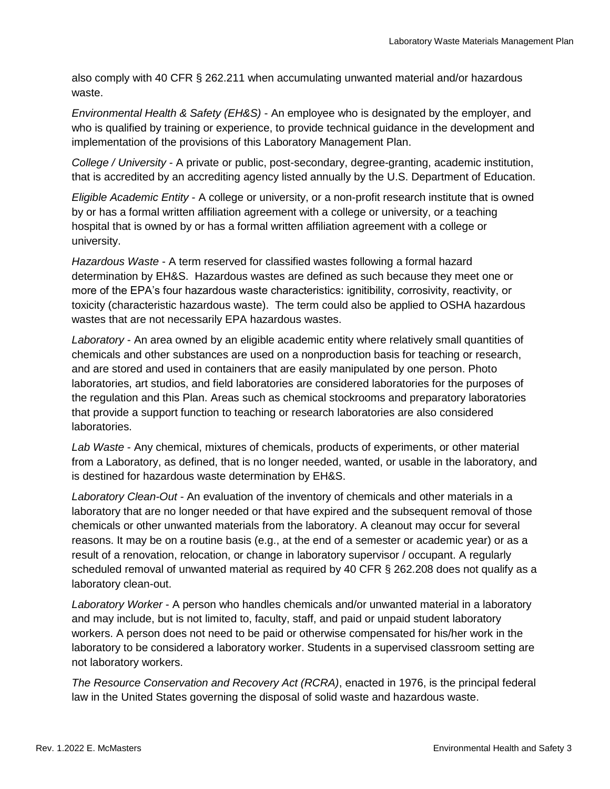also comply with 40 CFR § 262.211 when accumulating unwanted material and/or hazardous waste.

*Environmental Health & Safety (EH&S)* - An employee who is designated by the employer, and who is qualified by training or experience, to provide technical guidance in the development and implementation of the provisions of this Laboratory Management Plan.

*College / University* - A private or public, post-secondary, degree-granting, academic institution, that is accredited by an accrediting agency listed annually by the U.S. Department of Education.

*Eligible Academic Entity* - A college or university, or a non-profit research institute that is owned by or has a formal written affiliation agreement with a college or university, or a teaching hospital that is owned by or has a formal written affiliation agreement with a college or university.

*Hazardous Waste* - A term reserved for classified wastes following a formal hazard determination by EH&S. Hazardous wastes are defined as such because they meet one or more of the EPA's four hazardous waste characteristics: ignitibility, corrosivity, reactivity, or toxicity (characteristic hazardous waste). The term could also be applied to OSHA hazardous wastes that are not necessarily EPA hazardous wastes.

*Laboratory* - An area owned by an eligible academic entity where relatively small quantities of chemicals and other substances are used on a nonproduction basis for teaching or research, and are stored and used in containers that are easily manipulated by one person. Photo laboratories, art studios, and field laboratories are considered laboratories for the purposes of the regulation and this Plan. Areas such as chemical stockrooms and preparatory laboratories that provide a support function to teaching or research laboratories are also considered laboratories.

*Lab Waste* - Any chemical, mixtures of chemicals, products of experiments, or other material from a Laboratory, as defined, that is no longer needed, wanted, or usable in the laboratory, and is destined for hazardous waste determination by EH&S.

*Laboratory Clean-Out* - An evaluation of the inventory of chemicals and other materials in a laboratory that are no longer needed or that have expired and the subsequent removal of those chemicals or other unwanted materials from the laboratory. A cleanout may occur for several reasons. It may be on a routine basis (e.g., at the end of a semester or academic year) or as a result of a renovation, relocation, or change in laboratory supervisor / occupant. A regularly scheduled removal of unwanted material as required by 40 CFR § 262.208 does not qualify as a laboratory clean-out.

*Laboratory Worker* - A person who handles chemicals and/or unwanted material in a laboratory and may include, but is not limited to, faculty, staff, and paid or unpaid student laboratory workers. A person does not need to be paid or otherwise compensated for his/her work in the laboratory to be considered a laboratory worker. Students in a supervised classroom setting are not laboratory workers.

*The Resource Conservation and Recovery Act (RCRA)*, enacted in 1976, is the principal federal law in the United States governing the disposal of solid waste and hazardous waste.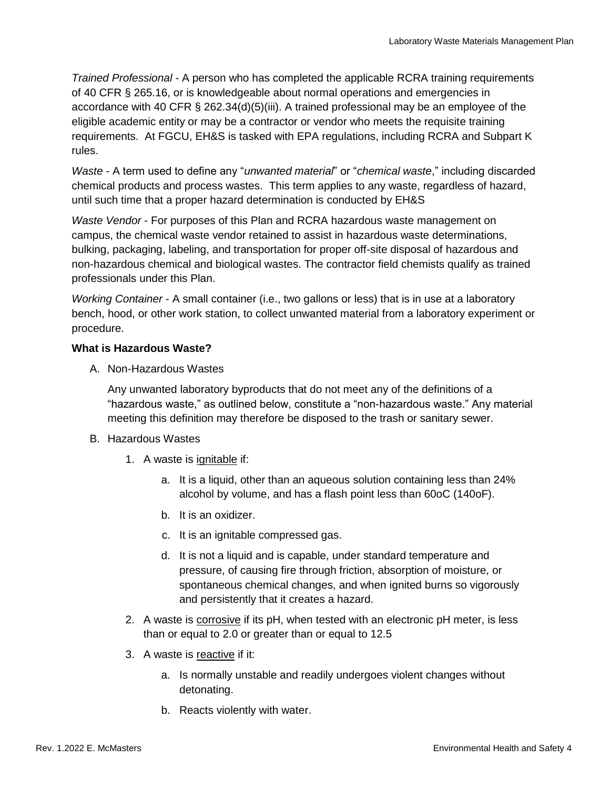*Trained Professional* - A person who has completed the applicable RCRA training requirements of 40 CFR § 265.16, or is knowledgeable about normal operations and emergencies in accordance with 40 CFR § 262.34(d)(5)(iii). A trained professional may be an employee of the eligible academic entity or may be a contractor or vendor who meets the requisite training requirements. At FGCU, EH&S is tasked with EPA regulations, including RCRA and Subpart K rules.

*Waste* - A term used to define any "*unwanted material*" or "*chemical waste*," including discarded chemical products and process wastes. This term applies to any waste, regardless of hazard, until such time that a proper hazard determination is conducted by EH&S

*Waste Vendor* - For purposes of this Plan and RCRA hazardous waste management on campus, the chemical waste vendor retained to assist in hazardous waste determinations, bulking, packaging, labeling, and transportation for proper off-site disposal of hazardous and non-hazardous chemical and biological wastes. The contractor field chemists qualify as trained professionals under this Plan.

*Working Container* - A small container (i.e., two gallons or less) that is in use at a laboratory bench, hood, or other work station, to collect unwanted material from a laboratory experiment or procedure.

## **What is Hazardous Waste?**

A. Non-Hazardous Wastes

Any unwanted laboratory byproducts that do not meet any of the definitions of a "hazardous waste," as outlined below, constitute a "non-hazardous waste." Any material meeting this definition may therefore be disposed to the trash or sanitary sewer.

- B. Hazardous Wastes
	- 1. A waste is ignitable if:
		- a. It is a liquid, other than an aqueous solution containing less than 24% alcohol by volume, and has a flash point less than 60oC (140oF).
		- b. It is an oxidizer.
		- c. It is an ignitable compressed gas.
		- d. It is not a liquid and is capable, under standard temperature and pressure, of causing fire through friction, absorption of moisture, or spontaneous chemical changes, and when ignited burns so vigorously and persistently that it creates a hazard.
	- 2. A waste is corrosive if its pH, when tested with an electronic pH meter, is less than or equal to 2.0 or greater than or equal to 12.5
	- 3. A waste is reactive if it:
		- a. Is normally unstable and readily undergoes violent changes without detonating.
		- b. Reacts violently with water.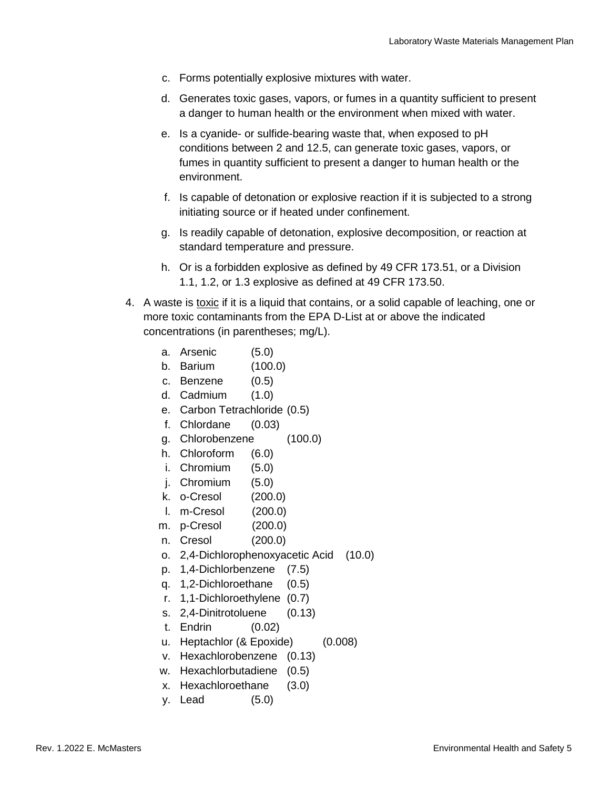- c. Forms potentially explosive mixtures with water.
- d. Generates toxic gases, vapors, or fumes in a quantity sufficient to present a danger to human health or the environment when mixed with water.
- e. Is a cyanide- or sulfide-bearing waste that, when exposed to pH conditions between 2 and 12.5, can generate toxic gases, vapors, or fumes in quantity sufficient to present a danger to human health or the environment.
- f. Is capable of detonation or explosive reaction if it is subjected to a strong initiating source or if heated under confinement.
- g. Is readily capable of detonation, explosive decomposition, or reaction at standard temperature and pressure.
- h. Or is a forbidden explosive as defined by 49 CFR 173.51, or a Division 1.1, 1.2, or 1.3 explosive as defined at 49 CFR 173.50.
- 4. A waste is toxic if it is a liquid that contains, or a solid capable of leaching, one or more toxic contaminants from the EPA D-List at or above the indicated concentrations (in parentheses; mg/L).
	- a. Arsenic (5.0)
	- b. Barium (100.0)
	- c. Benzene (0.5)
	- d. Cadmium (1.0)
	- e. Carbon Tetrachloride (0.5)
	- f. Chlordane (0.03)
	- g. Chlorobenzene (100.0)
	- h. Chloroform (6.0)
	- i. Chromium (5.0)
	- j. Chromium (5.0)
	- k. o-Cresol (200.0)
	- l. m-Cresol (200.0)
	- m. p-Cresol (200.0)
	- n. Cresol (200.0)
	- o. 2,4-Dichlorophenoxyacetic Acid (10.0)
	- p. 1,4-Dichlorbenzene (7.5)
	- q. 1,2-Dichloroethane (0.5)
	- r. 1,1-Dichloroethylene (0.7)
	- s. 2,4-Dinitrotoluene (0.13)
	- t. Endrin (0.02)
	- u. Heptachlor (& Epoxide) (0.008)
	- v. Hexachlorobenzene (0.13)
	- w. Hexachlorbutadiene (0.5)
	- x. Hexachloroethane (3.0)
	- y. Lead (5.0)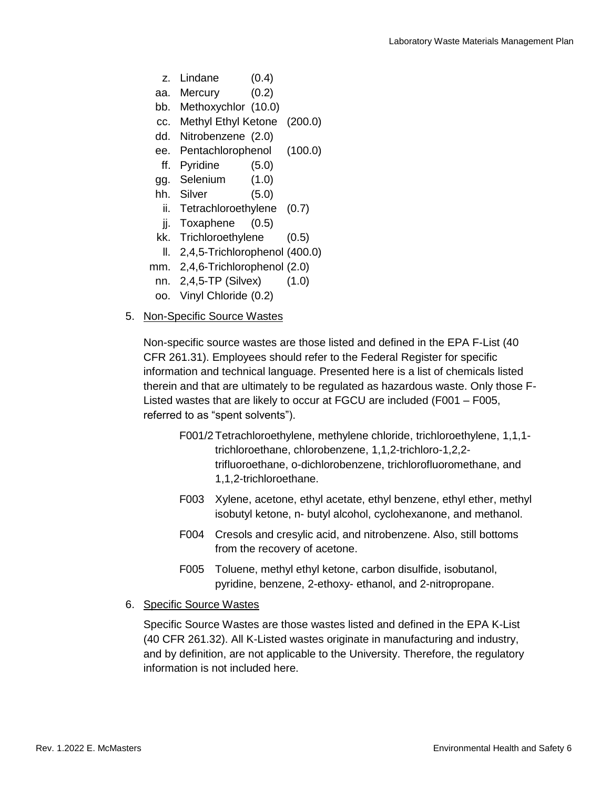- z. Lindane (0.4)
- aa. Mercury (0.2)
- bb. Methoxychlor (10.0)
- cc. Methyl Ethyl Ketone (200.0)
- dd. Nitrobenzene (2.0)
- ee. Pentachlorophenol (100.0)
- ff. Pyridine (5.0)
- gg. Selenium (1.0)
- hh. Silver (5.0)
- ii. Tetrachloroethylene (0.7)
- jj. Toxaphene (0.5)
- kk. Trichloroethylene (0.5)
- ll. 2,4,5-Trichlorophenol (400.0)
- mm. 2,4,6-Trichlorophenol (2.0)
- nn. 2,4,5-TP (Silvex) (1.0)
- oo. Vinyl Chloride (0.2)
- 5. Non-Specific Source Wastes

Non-specific source wastes are those listed and defined in the EPA F-List (40 CFR 261.31). Employees should refer to the Federal Register for specific information and technical language. Presented here is a list of chemicals listed therein and that are ultimately to be regulated as hazardous waste. Only those F-Listed wastes that are likely to occur at FGCU are included (F001 – F005, referred to as "spent solvents").

- F001/2Tetrachloroethylene, methylene chloride, trichloroethylene, 1,1,1 trichloroethane, chlorobenzene, 1,1,2-trichloro-1,2,2 trifluoroethane, o-dichlorobenzene, trichlorofluoromethane, and 1,1,2-trichloroethane.
- F003 Xylene, acetone, ethyl acetate, ethyl benzene, ethyl ether, methyl isobutyl ketone, n- butyl alcohol, cyclohexanone, and methanol.
- F004 Cresols and cresylic acid, and nitrobenzene. Also, still bottoms from the recovery of acetone.
- F005 Toluene, methyl ethyl ketone, carbon disulfide, isobutanol, pyridine, benzene, 2-ethoxy- ethanol, and 2-nitropropane.
- 6. Specific Source Wastes

Specific Source Wastes are those wastes listed and defined in the EPA K-List (40 CFR 261.32). All K-Listed wastes originate in manufacturing and industry, and by definition, are not applicable to the University. Therefore, the regulatory information is not included here.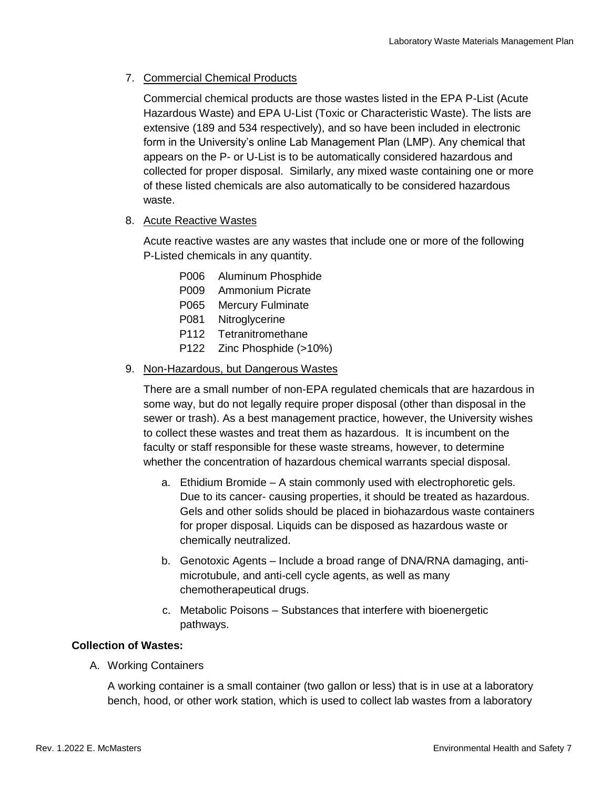# 7. Commercial Chemical Products

Commercial chemical products are those wastes listed in the EPA P-List (Acute Hazardous Waste) and EPA U-List (Toxic or Characteristic Waste). The lists are extensive (189 and 534 respectively), and so have been included in electronic form in the University's online Lab Management Plan (LMP). Any chemical that appears on the P- or U-List is to be automatically considered hazardous and collected for proper disposal. Similarly, any mixed waste containing one or more of these listed chemicals are also automatically to be considered hazardous waste.

8. Acute Reactive Wastes

Acute reactive wastes are any wastes that include one or more of the following P-Listed chemicals in any quantity.

- P006 Aluminum Phosphide
- P009 Ammonium Picrate
- P065 Mercury Fulminate
- P081 Nitroglycerine
- P112 Tetranitromethane
- P122 Zinc Phosphide (>10%)

### 9. Non-Hazardous, but Dangerous Wastes

There are a small number of non-EPA regulated chemicals that are hazardous in some way, but do not legally require proper disposal (other than disposal in the sewer or trash). As a best management practice, however, the University wishes to collect these wastes and treat them as hazardous. It is incumbent on the faculty or staff responsible for these waste streams, however, to determine whether the concentration of hazardous chemical warrants special disposal.

- a. Ethidium Bromide A stain commonly used with electrophoretic gels. Due to its cancer- causing properties, it should be treated as hazardous. Gels and other solids should be placed in biohazardous waste containers for proper disposal. Liquids can be disposed as hazardous waste or chemically neutralized.
- b. Genotoxic Agents Include a broad range of DNA/RNA damaging, antimicrotubule, and anti-cell cycle agents, as well as many chemotherapeutical drugs.
- c. Metabolic Poisons Substances that interfere with bioenergetic pathways.

## **Collection of Wastes:**

A. Working Containers

A working container is a small container (two gallon or less) that is in use at a laboratory bench, hood, or other work station, which is used to collect lab wastes from a laboratory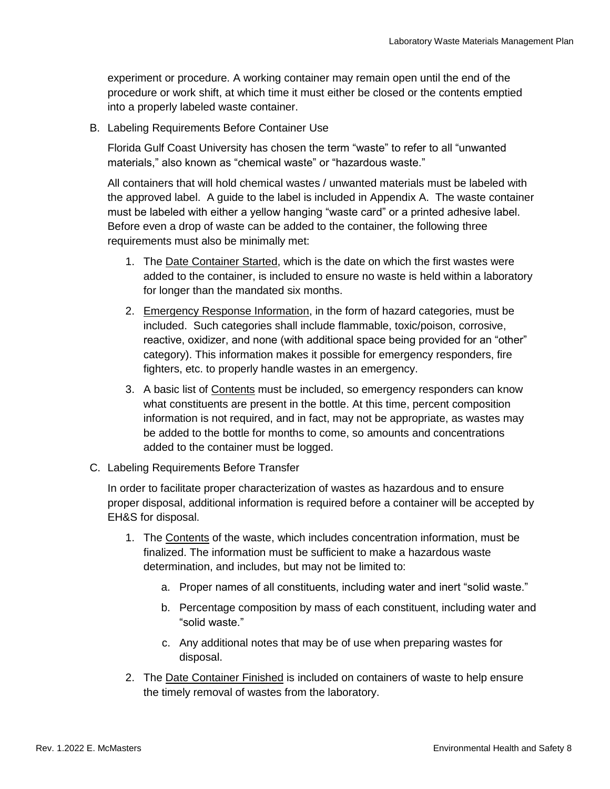experiment or procedure. A working container may remain open until the end of the procedure or work shift, at which time it must either be closed or the contents emptied into a properly labeled waste container.

B. Labeling Requirements Before Container Use

Florida Gulf Coast University has chosen the term "waste" to refer to all "unwanted materials," also known as "chemical waste" or "hazardous waste."

All containers that will hold chemical wastes / unwanted materials must be labeled with the approved label. A guide to the label is included in Appendix A. The waste container must be labeled with either a yellow hanging "waste card" or a printed adhesive label. Before even a drop of waste can be added to the container, the following three requirements must also be minimally met:

- 1. The Date Container Started, which is the date on which the first wastes were added to the container, is included to ensure no waste is held within a laboratory for longer than the mandated six months.
- 2. Emergency Response Information, in the form of hazard categories, must be included. Such categories shall include flammable, toxic/poison, corrosive, reactive, oxidizer, and none (with additional space being provided for an "other" category). This information makes it possible for emergency responders, fire fighters, etc. to properly handle wastes in an emergency.
- 3. A basic list of Contents must be included, so emergency responders can know what constituents are present in the bottle. At this time, percent composition information is not required, and in fact, may not be appropriate, as wastes may be added to the bottle for months to come, so amounts and concentrations added to the container must be logged.
- C. Labeling Requirements Before Transfer

In order to facilitate proper characterization of wastes as hazardous and to ensure proper disposal, additional information is required before a container will be accepted by EH&S for disposal.

- 1. The Contents of the waste, which includes concentration information, must be finalized. The information must be sufficient to make a hazardous waste determination, and includes, but may not be limited to:
	- a. Proper names of all constituents, including water and inert "solid waste."
	- b. Percentage composition by mass of each constituent, including water and "solid waste."
	- c. Any additional notes that may be of use when preparing wastes for disposal.
- 2. The Date Container Finished is included on containers of waste to help ensure the timely removal of wastes from the laboratory.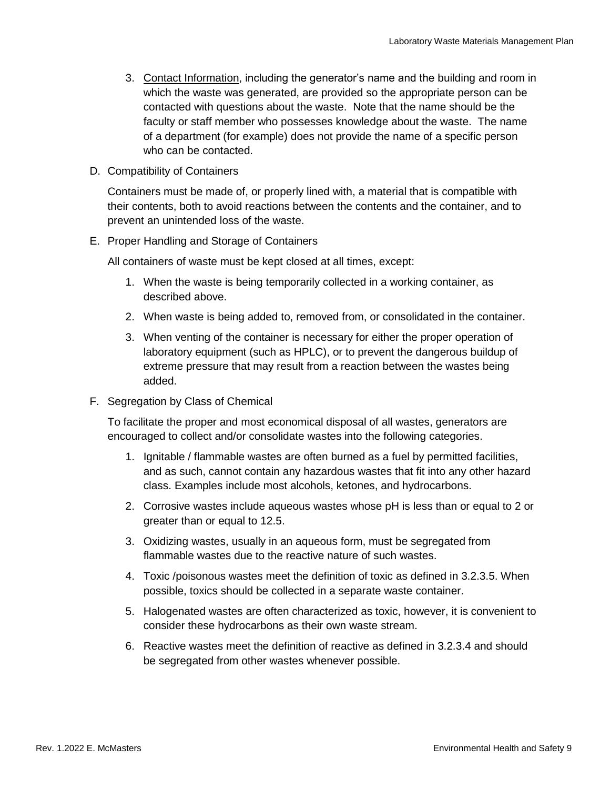- 3. Contact Information, including the generator's name and the building and room in which the waste was generated, are provided so the appropriate person can be contacted with questions about the waste. Note that the name should be the faculty or staff member who possesses knowledge about the waste. The name of a department (for example) does not provide the name of a specific person who can be contacted.
- D. Compatibility of Containers

Containers must be made of, or properly lined with, a material that is compatible with their contents, both to avoid reactions between the contents and the container, and to prevent an unintended loss of the waste.

E. Proper Handling and Storage of Containers

All containers of waste must be kept closed at all times, except:

- 1. When the waste is being temporarily collected in a working container, as described above.
- 2. When waste is being added to, removed from, or consolidated in the container.
- 3. When venting of the container is necessary for either the proper operation of laboratory equipment (such as HPLC), or to prevent the dangerous buildup of extreme pressure that may result from a reaction between the wastes being added.
- F. Segregation by Class of Chemical

To facilitate the proper and most economical disposal of all wastes, generators are encouraged to collect and/or consolidate wastes into the following categories.

- 1. Ignitable / flammable wastes are often burned as a fuel by permitted facilities, and as such, cannot contain any hazardous wastes that fit into any other hazard class. Examples include most alcohols, ketones, and hydrocarbons.
- 2. Corrosive wastes include aqueous wastes whose pH is less than or equal to 2 or greater than or equal to 12.5.
- 3. Oxidizing wastes, usually in an aqueous form, must be segregated from flammable wastes due to the reactive nature of such wastes.
- 4. Toxic /poisonous wastes meet the definition of toxic as defined in 3.2.3.5. When possible, toxics should be collected in a separate waste container.
- 5. Halogenated wastes are often characterized as toxic, however, it is convenient to consider these hydrocarbons as their own waste stream.
- 6. Reactive wastes meet the definition of reactive as defined in 3.2.3.4 and should be segregated from other wastes whenever possible.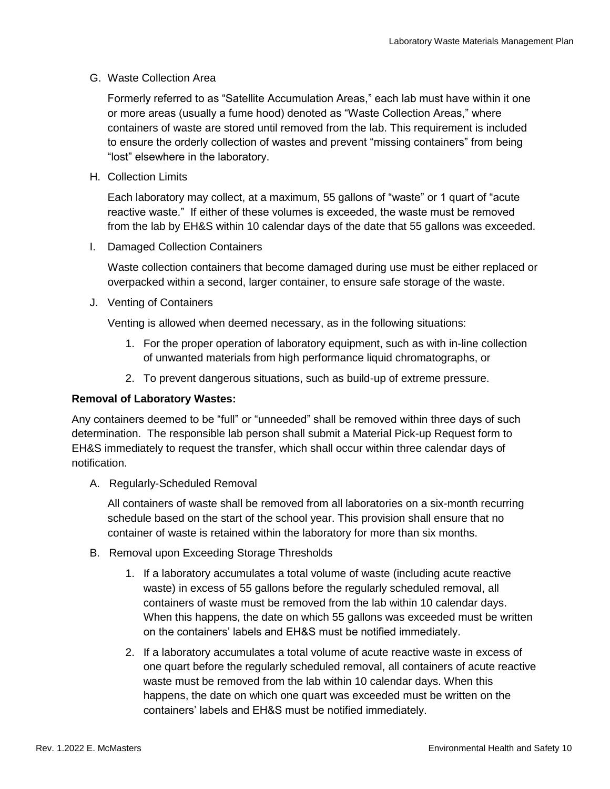### G. Waste Collection Area

Formerly referred to as "Satellite Accumulation Areas," each lab must have within it one or more areas (usually a fume hood) denoted as "Waste Collection Areas," where containers of waste are stored until removed from the lab. This requirement is included to ensure the orderly collection of wastes and prevent "missing containers" from being "lost" elsewhere in the laboratory.

H. Collection Limits

Each laboratory may collect, at a maximum, 55 gallons of "waste" or 1 quart of "acute reactive waste." If either of these volumes is exceeded, the waste must be removed from the lab by EH&S within 10 calendar days of the date that 55 gallons was exceeded.

I. Damaged Collection Containers

Waste collection containers that become damaged during use must be either replaced or overpacked within a second, larger container, to ensure safe storage of the waste.

J. Venting of Containers

Venting is allowed when deemed necessary, as in the following situations:

- 1. For the proper operation of laboratory equipment, such as with in-line collection of unwanted materials from high performance liquid chromatographs, or
- 2. To prevent dangerous situations, such as build-up of extreme pressure.

### **Removal of Laboratory Wastes:**

Any containers deemed to be "full" or "unneeded" shall be removed within three days of such determination. The responsible lab person shall submit a Material Pick-up Request form to EH&S immediately to request the transfer, which shall occur within three calendar days of notification.

A. Regularly-Scheduled Removal

All containers of waste shall be removed from all laboratories on a six-month recurring schedule based on the start of the school year. This provision shall ensure that no container of waste is retained within the laboratory for more than six months.

- B. Removal upon Exceeding Storage Thresholds
	- 1. If a laboratory accumulates a total volume of waste (including acute reactive waste) in excess of 55 gallons before the regularly scheduled removal, all containers of waste must be removed from the lab within 10 calendar days. When this happens, the date on which 55 gallons was exceeded must be written on the containers' labels and EH&S must be notified immediately.
	- 2. If a laboratory accumulates a total volume of acute reactive waste in excess of one quart before the regularly scheduled removal, all containers of acute reactive waste must be removed from the lab within 10 calendar days. When this happens, the date on which one quart was exceeded must be written on the containers' labels and EH&S must be notified immediately.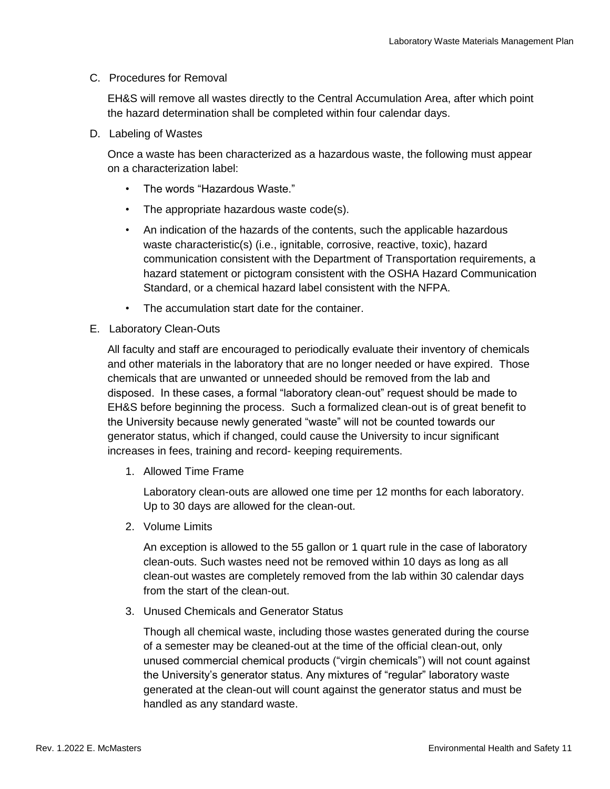#### C. Procedures for Removal

EH&S will remove all wastes directly to the Central Accumulation Area, after which point the hazard determination shall be completed within four calendar days.

D. Labeling of Wastes

Once a waste has been characterized as a hazardous waste, the following must appear on a characterization label:

- The words "Hazardous Waste."
- The appropriate hazardous waste code(s).
- An indication of the hazards of the contents, such the applicable hazardous waste characteristic(s) (i.e., ignitable, corrosive, reactive, toxic), hazard communication consistent with the Department of Transportation requirements, a hazard statement or pictogram consistent with the OSHA Hazard Communication Standard, or a chemical hazard label consistent with the NFPA.
- The accumulation start date for the container.
- E. Laboratory Clean-Outs

All faculty and staff are encouraged to periodically evaluate their inventory of chemicals and other materials in the laboratory that are no longer needed or have expired. Those chemicals that are unwanted or unneeded should be removed from the lab and disposed. In these cases, a formal "laboratory clean-out" request should be made to EH&S before beginning the process. Such a formalized clean-out is of great benefit to the University because newly generated "waste" will not be counted towards our generator status, which if changed, could cause the University to incur significant increases in fees, training and record- keeping requirements.

1. Allowed Time Frame

Laboratory clean-outs are allowed one time per 12 months for each laboratory. Up to 30 days are allowed for the clean-out.

2. Volume Limits

An exception is allowed to the 55 gallon or 1 quart rule in the case of laboratory clean-outs. Such wastes need not be removed within 10 days as long as all clean-out wastes are completely removed from the lab within 30 calendar days from the start of the clean-out.

3. Unused Chemicals and Generator Status

Though all chemical waste, including those wastes generated during the course of a semester may be cleaned-out at the time of the official clean-out, only unused commercial chemical products ("virgin chemicals") will not count against the University's generator status. Any mixtures of "regular" laboratory waste generated at the clean-out will count against the generator status and must be handled as any standard waste.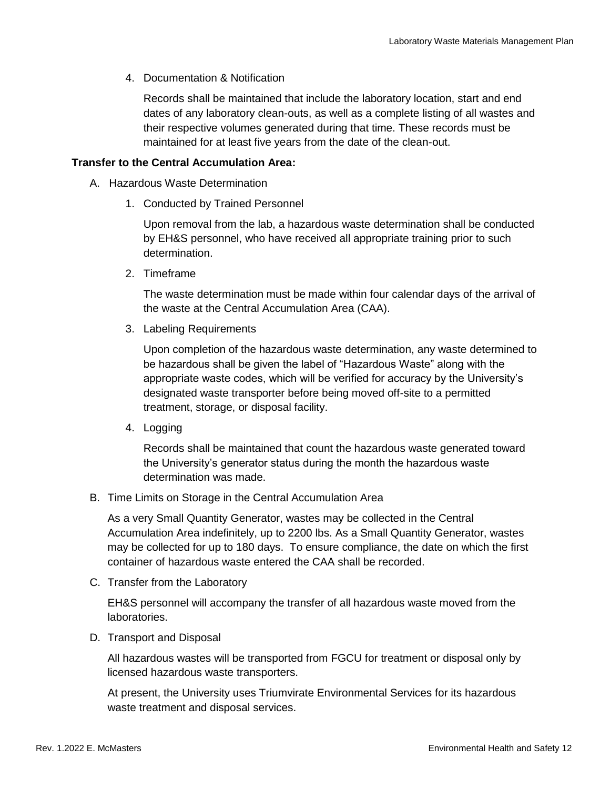4. Documentation & Notification

Records shall be maintained that include the laboratory location, start and end dates of any laboratory clean-outs, as well as a complete listing of all wastes and their respective volumes generated during that time. These records must be maintained for at least five years from the date of the clean-out.

#### **Transfer to the Central Accumulation Area:**

- A. Hazardous Waste Determination
	- 1. Conducted by Trained Personnel

Upon removal from the lab, a hazardous waste determination shall be conducted by EH&S personnel, who have received all appropriate training prior to such determination.

2. Timeframe

The waste determination must be made within four calendar days of the arrival of the waste at the Central Accumulation Area (CAA).

3. Labeling Requirements

Upon completion of the hazardous waste determination, any waste determined to be hazardous shall be given the label of "Hazardous Waste" along with the appropriate waste codes, which will be verified for accuracy by the University's designated waste transporter before being moved off-site to a permitted treatment, storage, or disposal facility.

4. Logging

Records shall be maintained that count the hazardous waste generated toward the University's generator status during the month the hazardous waste determination was made.

B. Time Limits on Storage in the Central Accumulation Area

As a very Small Quantity Generator, wastes may be collected in the Central Accumulation Area indefinitely, up to 2200 lbs. As a Small Quantity Generator, wastes may be collected for up to 180 days. To ensure compliance, the date on which the first container of hazardous waste entered the CAA shall be recorded.

C. Transfer from the Laboratory

EH&S personnel will accompany the transfer of all hazardous waste moved from the laboratories.

D. Transport and Disposal

All hazardous wastes will be transported from FGCU for treatment or disposal only by licensed hazardous waste transporters.

At present, the University uses Triumvirate Environmental Services for its hazardous waste treatment and disposal services.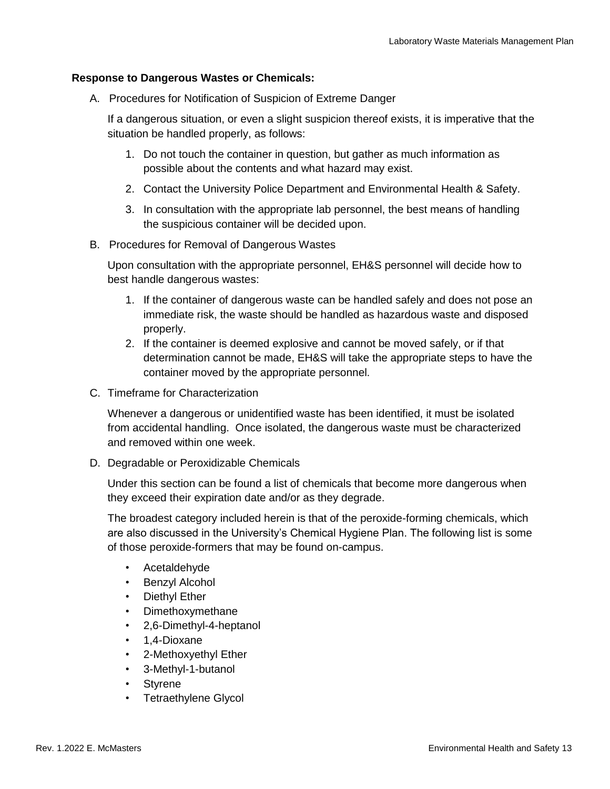#### **Response to Dangerous Wastes or Chemicals:**

A. Procedures for Notification of Suspicion of Extreme Danger

If a dangerous situation, or even a slight suspicion thereof exists, it is imperative that the situation be handled properly, as follows:

- 1. Do not touch the container in question, but gather as much information as possible about the contents and what hazard may exist.
- 2. Contact the University Police Department and Environmental Health & Safety.
- 3. In consultation with the appropriate lab personnel, the best means of handling the suspicious container will be decided upon.
- B. Procedures for Removal of Dangerous Wastes

Upon consultation with the appropriate personnel, EH&S personnel will decide how to best handle dangerous wastes:

- 1. If the container of dangerous waste can be handled safely and does not pose an immediate risk, the waste should be handled as hazardous waste and disposed properly.
- 2. If the container is deemed explosive and cannot be moved safely, or if that determination cannot be made, EH&S will take the appropriate steps to have the container moved by the appropriate personnel.
- C. Timeframe for Characterization

Whenever a dangerous or unidentified waste has been identified, it must be isolated from accidental handling. Once isolated, the dangerous waste must be characterized and removed within one week.

D. Degradable or Peroxidizable Chemicals

Under this section can be found a list of chemicals that become more dangerous when they exceed their expiration date and/or as they degrade.

The broadest category included herein is that of the peroxide-forming chemicals, which are also discussed in the University's Chemical Hygiene Plan. The following list is some of those peroxide-formers that may be found on-campus.

- Acetaldehyde
- Benzyl Alcohol
- Diethyl Ether
- Dimethoxymethane
- 2,6-Dimethyl-4-heptanol
- 1,4-Dioxane
- 2-Methoxyethyl Ether
- 3-Methyl-1-butanol
- Styrene
- Tetraethylene Glycol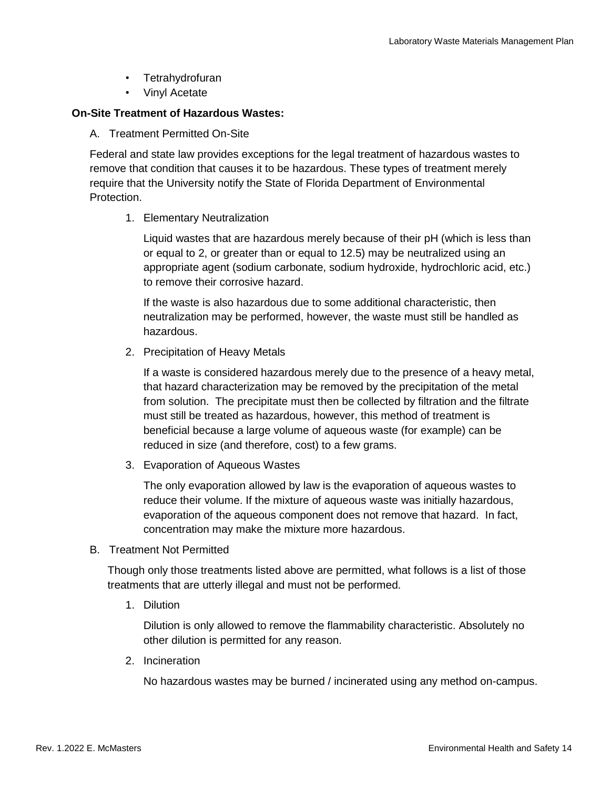- Tetrahydrofuran
- Vinyl Acetate

#### **On-Site Treatment of Hazardous Wastes:**

A. Treatment Permitted On-Site

Federal and state law provides exceptions for the legal treatment of hazardous wastes to remove that condition that causes it to be hazardous. These types of treatment merely require that the University notify the State of Florida Department of Environmental Protection.

#### 1. Elementary Neutralization

Liquid wastes that are hazardous merely because of their pH (which is less than or equal to 2, or greater than or equal to 12.5) may be neutralized using an appropriate agent (sodium carbonate, sodium hydroxide, hydrochloric acid, etc.) to remove their corrosive hazard.

If the waste is also hazardous due to some additional characteristic, then neutralization may be performed, however, the waste must still be handled as hazardous.

2. Precipitation of Heavy Metals

If a waste is considered hazardous merely due to the presence of a heavy metal, that hazard characterization may be removed by the precipitation of the metal from solution. The precipitate must then be collected by filtration and the filtrate must still be treated as hazardous, however, this method of treatment is beneficial because a large volume of aqueous waste (for example) can be reduced in size (and therefore, cost) to a few grams.

3. Evaporation of Aqueous Wastes

The only evaporation allowed by law is the evaporation of aqueous wastes to reduce their volume. If the mixture of aqueous waste was initially hazardous, evaporation of the aqueous component does not remove that hazard. In fact, concentration may make the mixture more hazardous.

B. Treatment Not Permitted

Though only those treatments listed above are permitted, what follows is a list of those treatments that are utterly illegal and must not be performed.

1. Dilution

Dilution is only allowed to remove the flammability characteristic. Absolutely no other dilution is permitted for any reason.

2. Incineration

No hazardous wastes may be burned / incinerated using any method on-campus.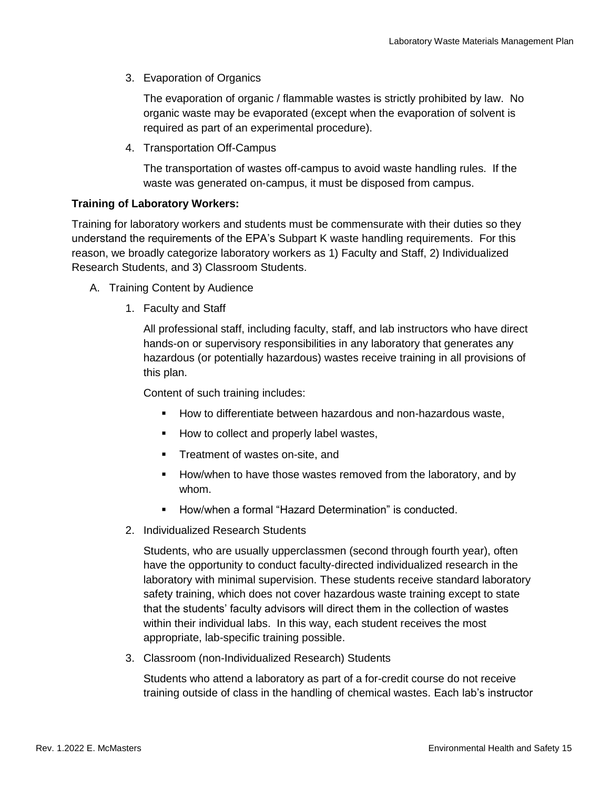3. Evaporation of Organics

The evaporation of organic / flammable wastes is strictly prohibited by law. No organic waste may be evaporated (except when the evaporation of solvent is required as part of an experimental procedure).

4. Transportation Off-Campus

The transportation of wastes off-campus to avoid waste handling rules. If the waste was generated on-campus, it must be disposed from campus.

### **Training of Laboratory Workers:**

Training for laboratory workers and students must be commensurate with their duties so they understand the requirements of the EPA's Subpart K waste handling requirements. For this reason, we broadly categorize laboratory workers as 1) Faculty and Staff, 2) Individualized Research Students, and 3) Classroom Students.

- A. Training Content by Audience
	- 1. Faculty and Staff

All professional staff, including faculty, staff, and lab instructors who have direct hands-on or supervisory responsibilities in any laboratory that generates any hazardous (or potentially hazardous) wastes receive training in all provisions of this plan.

Content of such training includes:

- How to differentiate between hazardous and non-hazardous waste,
- How to collect and properly label wastes,
- **•** Treatment of wastes on-site, and
- How/when to have those wastes removed from the laboratory, and by whom.
- How/when a formal "Hazard Determination" is conducted.
- 2. Individualized Research Students

Students, who are usually upperclassmen (second through fourth year), often have the opportunity to conduct faculty-directed individualized research in the laboratory with minimal supervision. These students receive standard laboratory safety training, which does not cover hazardous waste training except to state that the students' faculty advisors will direct them in the collection of wastes within their individual labs. In this way, each student receives the most appropriate, lab-specific training possible.

3. Classroom (non-Individualized Research) Students

Students who attend a laboratory as part of a for-credit course do not receive training outside of class in the handling of chemical wastes. Each lab's instructor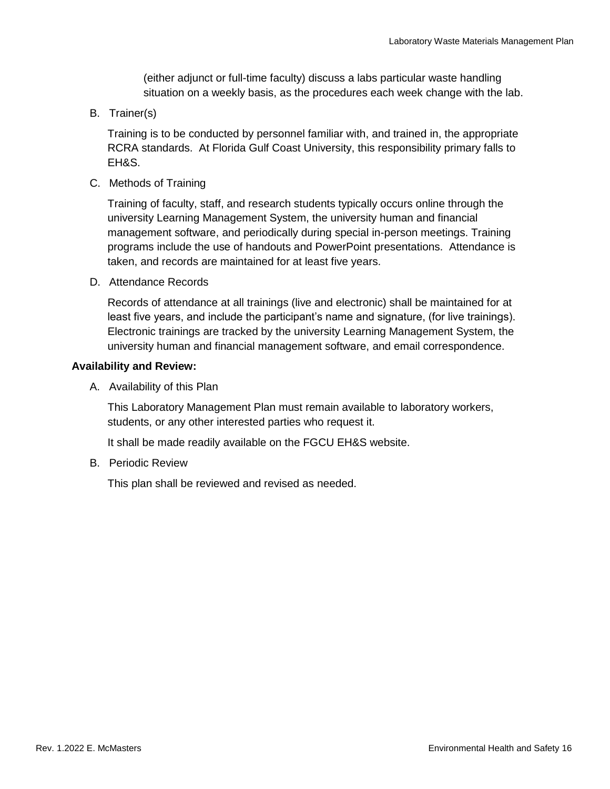(either adjunct or full-time faculty) discuss a labs particular waste handling situation on a weekly basis, as the procedures each week change with the lab.

B. Trainer(s)

Training is to be conducted by personnel familiar with, and trained in, the appropriate RCRA standards. At Florida Gulf Coast University, this responsibility primary falls to EH&S.

C. Methods of Training

Training of faculty, staff, and research students typically occurs online through the university Learning Management System, the university human and financial management software, and periodically during special in-person meetings. Training programs include the use of handouts and PowerPoint presentations. Attendance is taken, and records are maintained for at least five years.

D. Attendance Records

Records of attendance at all trainings (live and electronic) shall be maintained for at least five years, and include the participant's name and signature, (for live trainings). Electronic trainings are tracked by the university Learning Management System, the university human and financial management software, and email correspondence.

### **Availability and Review:**

A. Availability of this Plan

This Laboratory Management Plan must remain available to laboratory workers, students, or any other interested parties who request it.

It shall be made readily available on the FGCU EH&S website.

B. Periodic Review

This plan shall be reviewed and revised as needed.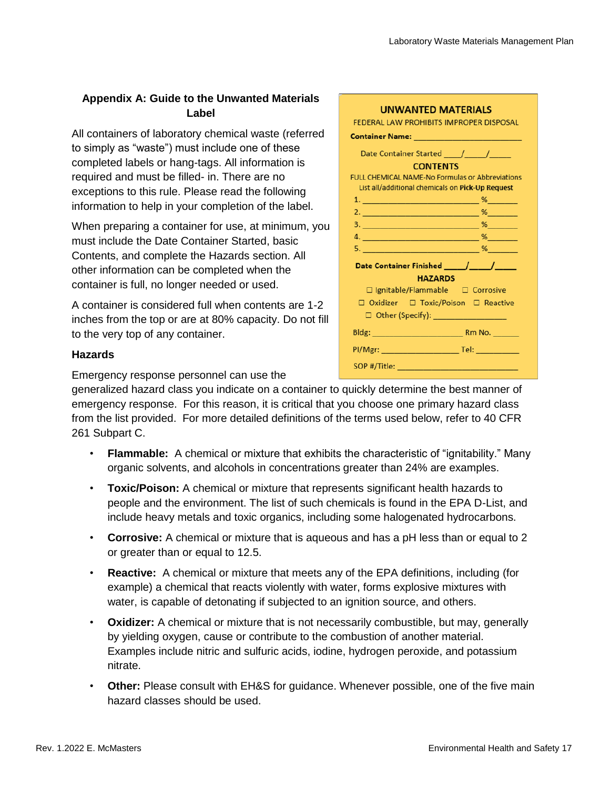## **Appendix A: Guide to the Unwanted Materials Label**

All containers of laboratory chemical waste (referred to simply as "waste") must include one of these completed labels or hang-tags. All information is required and must be filled- in. There are no exceptions to this rule. Please read the following information to help in your completion of the label.

When preparing a container for use, at minimum, you must include the Date Container Started, basic Contents, and complete the Hazards section. All other information can be completed when the container is full, no longer needed or used.

A container is considered full when contents are 1-2 inches from the top or are at 80% capacity. Do not fill to the very top of any container.

### **Hazards**

Emergency response personnel can use the

generalized hazard class you indicate on a container to quickly determine the best manner of emergency response. For this reason, it is critical that you choose one primary hazard class from the list provided. For more detailed definitions of the terms used below, refer to 40 CFR 261 Subpart C.

- **Flammable:** A chemical or mixture that exhibits the characteristic of "ignitability." Many organic solvents, and alcohols in concentrations greater than 24% are examples.
- **Toxic/Poison:** A chemical or mixture that represents significant health hazards to people and the environment. The list of such chemicals is found in the EPA D-List, and include heavy metals and toxic organics, including some halogenated hydrocarbons.
- **Corrosive:** A chemical or mixture that is aqueous and has a pH less than or equal to 2 or greater than or equal to 12.5.
- **Reactive:** A chemical or mixture that meets any of the EPA definitions, including (for example) a chemical that reacts violently with water, forms explosive mixtures with water, is capable of detonating if subjected to an ignition source, and others.
- **Oxidizer:** A chemical or mixture that is not necessarily combustible, but may, generally by yielding oxygen, cause or contribute to the combustion of another material. Examples include nitric and sulfuric acids, iodine, hydrogen peroxide, and potassium nitrate.
- **Other:** Please consult with EH&S for guidance. Whenever possible, one of the five main hazard classes should be used.

| <b>UNWANTED MATERIALS</b>                              |  |
|--------------------------------------------------------|--|
| FEDERAL LAW PROHIBITS IMPROPER DISPOSAL                |  |
| <u> Container Name: _______________________</u>        |  |
|                                                        |  |
| <b>CONTENTS</b>                                        |  |
| <b>FULL CHEMICAL NAME-No Formulas or Abbreviations</b> |  |
| List all/additional chemicals on Pick-Up Request       |  |
|                                                        |  |
|                                                        |  |
|                                                        |  |
|                                                        |  |
|                                                        |  |
|                                                        |  |
| <b>HAZARDS</b>                                         |  |
| □ Ignitable/Flammable □ Corrosive                      |  |
| □ Oxidizer □ Toxic/Poison □ Reactive                   |  |
| □ Other (Specify): __________________                  |  |
|                                                        |  |
|                                                        |  |
|                                                        |  |
|                                                        |  |